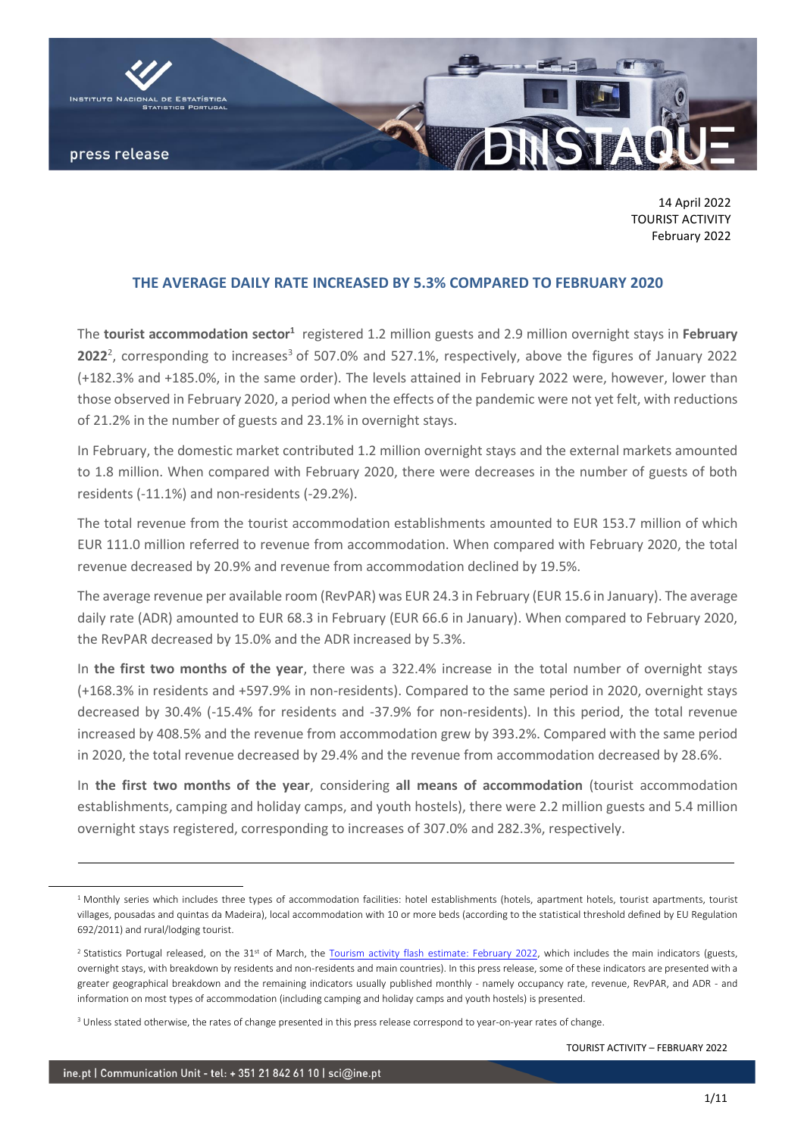

14 April 2022 TOURIST ACTIVITY February 2022

### **THE AVERAGE DAILY RATE INCREASED BY 5.3% COMPARED TO FEBRUARY 2020**

The tourist accommodation sector<sup>1</sup> registered 1.2 million guests and 2.9 million overnight stays in February **2022**<sup>2</sup>, corresponding to increases<sup>3</sup> of 507.0% and 527.1%, respectively, above the figures of January 2022 (+182.3% and +185.0%, in the same order). The levels attained in February 2022 were, however, lower than those observed in February 2020, a period when the effects of the pandemic were not yet felt, with reductions of 21.2% in the number of guests and 23.1% in overnight stays.

In February, the domestic market contributed 1.2 million overnight stays and the external markets amounted to 1.8 million. When compared with February 2020, there were decreases in the number of guests of both residents (-11.1%) and non-residents (-29.2%).

The total revenue from the tourist accommodation establishments amounted to EUR 153.7 million of which EUR 111.0 million referred to revenue from accommodation. When compared with February 2020, the total revenue decreased by 20.9% and revenue from accommodation declined by 19.5%.

The average revenue per available room (RevPAR) was EUR 24.3 in February (EUR 15.6 in January). The average daily rate (ADR) amounted to EUR 68.3 in February (EUR 66.6 in January). When compared to February 2020, the RevPAR decreased by 15.0% and the ADR increased by 5.3%.

In **the first two months of the year**, there was a 322.4% increase in the total number of overnight stays (+168.3% in residents and +597.9% in non-residents). Compared to the same period in 2020, overnight stays decreased by 30.4% (-15.4% for residents and -37.9% for non-residents). In this period, the total revenue increased by 408.5% and the revenue from accommodation grew by 393.2%. Compared with the same period in 2020, the total revenue decreased by 29.4% and the revenue from accommodation decreased by 28.6%.

In **the first two months of the year**, considering **all means of accommodation** (tourist accommodation establishments, camping and holiday camps, and youth hostels), there were 2.2 million guests and 5.4 million overnight stays registered, corresponding to increases of 307.0% and 282.3%, respectively.

 $\overline{a}$ 

<sup>&</sup>lt;sup>1</sup> Monthly series which includes three types of accommodation facilities: hotel establishments (hotels, apartment hotels, tourist apartments, tourist villages, pousadas and quintas da Madeira), local accommodation with 10 or more beds (according to the statistical threshold defined by EU Regulation 692/2011) and rural/lodging tourist.

<sup>&</sup>lt;sup>2</sup> Statistics Portugal released, on the  $31<sup>st</sup>$  of March, the [Tourism activity flash estimate: February 2022,](https://www.ine.pt/xportal/xmain?xpid=INE&xpgid=ine_destaques&DESTAQUESdest_boui=531958912&DESTAQUESmodo=2) which includes the main indicators (guests, overnight stays, with breakdown by residents and non-residents and main countries). In this press release, some of these indicators are presented with a greater geographical breakdown and the remaining indicators usually published monthly - namely occupancy rate, revenue, RevPAR, and ADR - and information on most types of accommodation (including camping and holiday camps and youth hostels) is presented.

<sup>&</sup>lt;sup>3</sup> Unless stated otherwise, the rates of change presented in this press release correspond to year-on-year rates of change.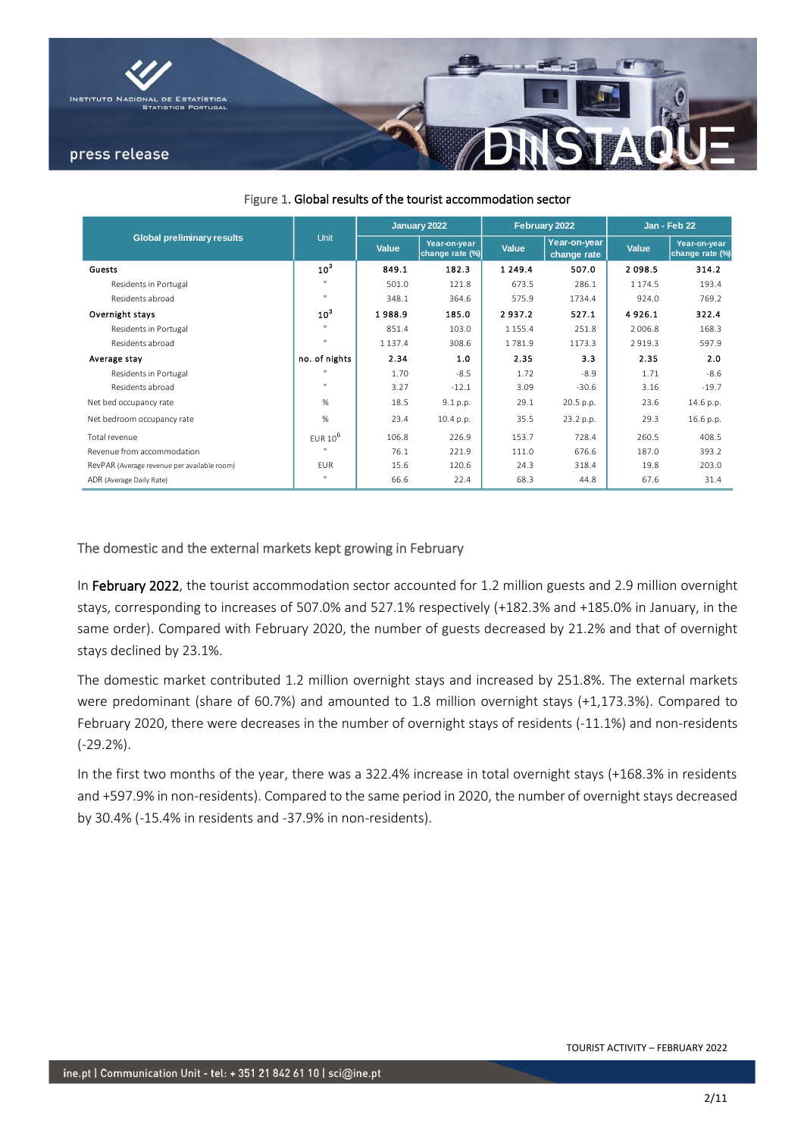

|                                             |                 |              | January 2022                    |             | February 2022               | <b>Jan - Feb 22</b> |                                 |  |
|---------------------------------------------|-----------------|--------------|---------------------------------|-------------|-----------------------------|---------------------|---------------------------------|--|
| <b>Global preliminary results</b>           | Unit            | <b>Value</b> | Year-on-year<br>change rate (%) | Value       | Year-on-year<br>change rate | <b>Value</b>        | Year-on-year<br>change rate (%) |  |
| Guests                                      | 10 <sup>3</sup> | 849.1        | 182.3                           | 1 2 4 9 . 4 | 507.0                       | 2098.5              | 314.2                           |  |
| Residents in Portugal                       | $\mathbf{H}$    | 501.0        | 121.8                           | 673.5       | 286.1                       | 1 1 7 4 .5          | 193.4                           |  |
| Residents abroad                            | $\mathbf{u}$    | 348.1        | 364.6                           | 575.9       | 1734.4                      | 924.0               | 769.2                           |  |
| Overnight stays                             | 10 <sup>3</sup> | 1988.9       | 185.0                           | 2937.2      | 527.1                       | 4926.1              | 322.4                           |  |
| Residents in Portugal                       | $\mathbf{u}$    | 851.4        | 103.0                           | 1 1 5 5 . 4 | 251.8                       | 2 0 0 6.8           | 168.3                           |  |
| Residents abroad                            | $\mathbf{u}$    | 1 1 3 7 . 4  | 308.6                           | 1781.9      | 1173.3                      | 2919.3              | 597.9                           |  |
| Average stay                                | no. of nights   | 2.34         | 1.0                             | 2.35        | 3.3                         | 2.35                | 2.0                             |  |
| Residents in Portugal                       | $\mathbf{u}$    | 1.70         | $-8.5$                          | 1.72        | $-8.9$                      | 1.71                | $-8.6$                          |  |
| Residents abroad                            | $\mathbf{u}$    | 3.27         | $-12.1$                         | 3.09        | $-30.6$                     | 3.16                | $-19.7$                         |  |
| Net bed occupancy rate                      | %               | 18.5         | 9.1 p.p.                        | 29.1        | 20.5 p.p.                   | 23.6                | 14.6 p.p.                       |  |
| Net bedroom occupancy rate                  | %               | 23.4         | 10.4 p.p.                       | 35.5        | 23.2 p.p.                   | 29.3                | 16.6 p.p.                       |  |
| Total revenue                               | EUR $10^6$      | 106.8        | 226.9                           | 153.7       | 728.4                       | 260.5               | 408.5                           |  |
| Revenue from accommodation                  |                 | 76.1         | 221.9                           | 111.0       | 676.6                       | 187.0               | 393.2                           |  |
| RevPAR (Average revenue per available room) | <b>FUR</b>      | 15.6         | 120.6                           | 24.3        | 318.4                       | 19.8                | 203.0                           |  |
| ADR (Average Daily Rate)                    | $\mathbf{H}$    | 66.6         | 22.4                            | 68.3        | 44.8                        | 67.6                | 31.4                            |  |

### Figure 1. Global results of the tourist accommodation sector

### The domestic and the external markets kept growing in February

In February 2022, the tourist accommodation sector accounted for 1.2 million guests and 2.9 million overnight stays, corresponding to increases of 507.0% and 527.1% respectively (+182.3% and +185.0% in January, in the same order). Compared with February 2020, the number of guests decreased by 21.2% and that of overnight stays declined by 23.1%.

The domestic market contributed 1.2 million overnight stays and increased by 251.8%. The external markets were predominant (share of 60.7%) and amounted to 1.8 million overnight stays (+1,173.3%). Compared to February 2020, there were decreases in the number of overnight stays of residents (-11.1%) and non-residents (-29.2%).

In the first two months of the year, there was a 322.4% increase in total overnight stays (+168.3% in residents and +597.9% in non-residents). Compared to the same period in 2020, the number of overnight stays decreased by 30.4% (-15.4% in residents and -37.9% in non-residents).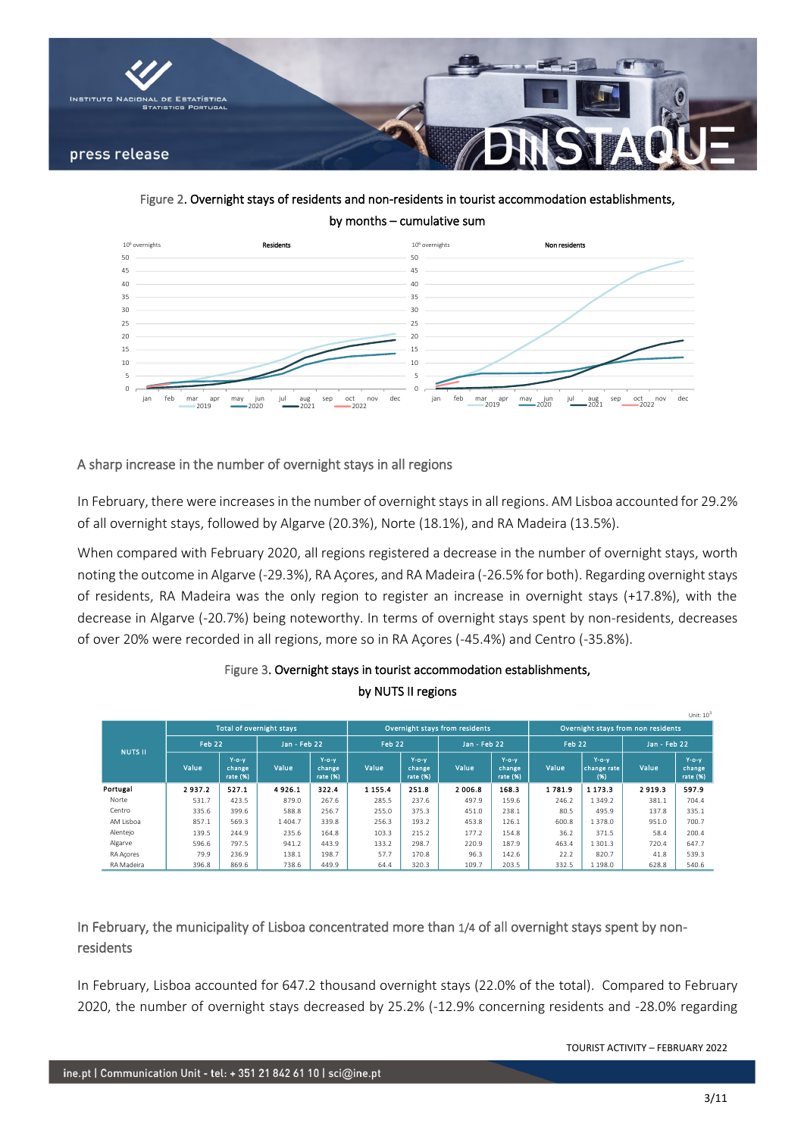

Figure 2. Overnight stays of residents and non-residents in tourist accommodation establishments, by months – cumulative sum



### A sharp increase in the number of overnight stays in all regions

In February, there were increases in the number of overnight stays in all regions. AM Lisboa accounted for 29.2% of all overnight stays, followed by Algarve (20.3%), Norte (18.1%), and RA Madeira (13.5%).

When compared with February 2020, all regions registered a decrease in the number of overnight stays, worth noting the outcome in Algarve (-29.3%), RA Açores, and RA Madeira (-26.5% for both). Regarding overnight stays of residents, RA Madeira was the only region to register an increase in overnight stays (+17.8%), with the decrease in Algarve (-20.7%) being noteworthy. In terms of overnight stays spent by non-residents, decreases of over 20% were recorded in all regions, more so in RA Açores (-45.4%) and Centro (-35.8%).

|                |        |                                      | <b>Total of overnight stavs</b> |                                   |             |                                      | Overnight stavs from residents |                                     | Overnight stavs from non residents |                                    |              |                                     |  |
|----------------|--------|--------------------------------------|---------------------------------|-----------------------------------|-------------|--------------------------------------|--------------------------------|-------------------------------------|------------------------------------|------------------------------------|--------------|-------------------------------------|--|
| <b>NUTS II</b> | Feb 22 |                                      | Jan - Feb 22                    |                                   | Feb 22      |                                      | Jan - Feb 22                   |                                     | Feb 22                             |                                    | Jan - Feb 22 |                                     |  |
|                | Value  | $Y$ -o- $Y$<br>change<br>rate $(% )$ | Value                           | $Y$ -o-v<br>change<br>rate $(96)$ | Value       | $Y$ -o- $Y$<br>change<br>rate $(% )$ | Value                          | $Y$ -o- $Y$<br>change<br>rate $(%)$ | Value                              | $Y$ -0- $Y$<br>change rate<br>(96) | Value        | $Y$ -o- $Y$<br>change<br>rate $(%)$ |  |
| Portugal       | 2937.2 | 527.1                                | 4926.1                          | 322.4                             | 1 1 5 5 . 4 | 2518                                 | 2006.8                         | 168.3                               | 1781.9                             | 1 1 7 3 3                          | 2919.3       | 597.9                               |  |
| Norte          | 531.7  | 423.5                                | 879.0                           | 267.6                             | 285.5       | 237.6                                | 497.9                          | 159.6                               | 246.2                              | 1349.2                             | 381.1        | 704.4                               |  |
| Centro         | 335.6  | 399.6                                | 588.8                           | 256.7                             | 255.0       | 375.3                                | 451.0                          | 238.1                               | 80.5                               | 495.9                              | 137.8        | 335.1                               |  |
| AM Lisboa      | 857.1  | 569.3                                | 1404.7                          | 339.8                             | 256.3       | 193.2                                | 453.8                          | 126.1                               | 600.8                              | 1378.0                             | 951.0        | 700.7                               |  |
| Alentejo       | 139.5  | 244.9                                | 235.6                           | 164.8                             | 103.3       | 215.2                                | 177.2                          | 154.8                               | 36.2                               | 371.5                              | 58.4         | 200.4                               |  |
| Algarve        | 596.6  | 797.5                                | 941.2                           | 443.9                             | 133.2       | 298.7                                | 220.9                          | 187.9                               | 463.4                              | 1 3 0 1 . 3                        | 720.4        | 647.7                               |  |
| RA Acores      | 79.9   | 236.9                                | 138.1                           | 198.7                             | 57.7        | 170.8                                | 96.3                           | 142.6                               | 22.2                               | 820.7                              | 41.8         | 539.3                               |  |
| RA Madeira     | 396.8  | 869.6                                | 738.6                           | 449.9                             | 64.4        | 320.3                                | 109.7                          | 203.5                               | 332.5                              | 1 1 9 8 . 0                        | 628.8        | 540.6                               |  |

## Figure 3. Overnight stays in tourist accommodation establishments, by NUTS II regions

## In February, the municipality of Lisboa concentrated more than 1/4 of all overnight stays spent by nonresidents

In February, Lisboa accounted for 647.2 thousand overnight stays (22.0% of the total). Compared to February 2020, the number of overnight stays decreased by 25.2% (-12.9% concerning residents and -28.0% regarding

TOURIST ACTIVITY – FEBRUARY 2022

Unit:  $10<sup>3</sup>$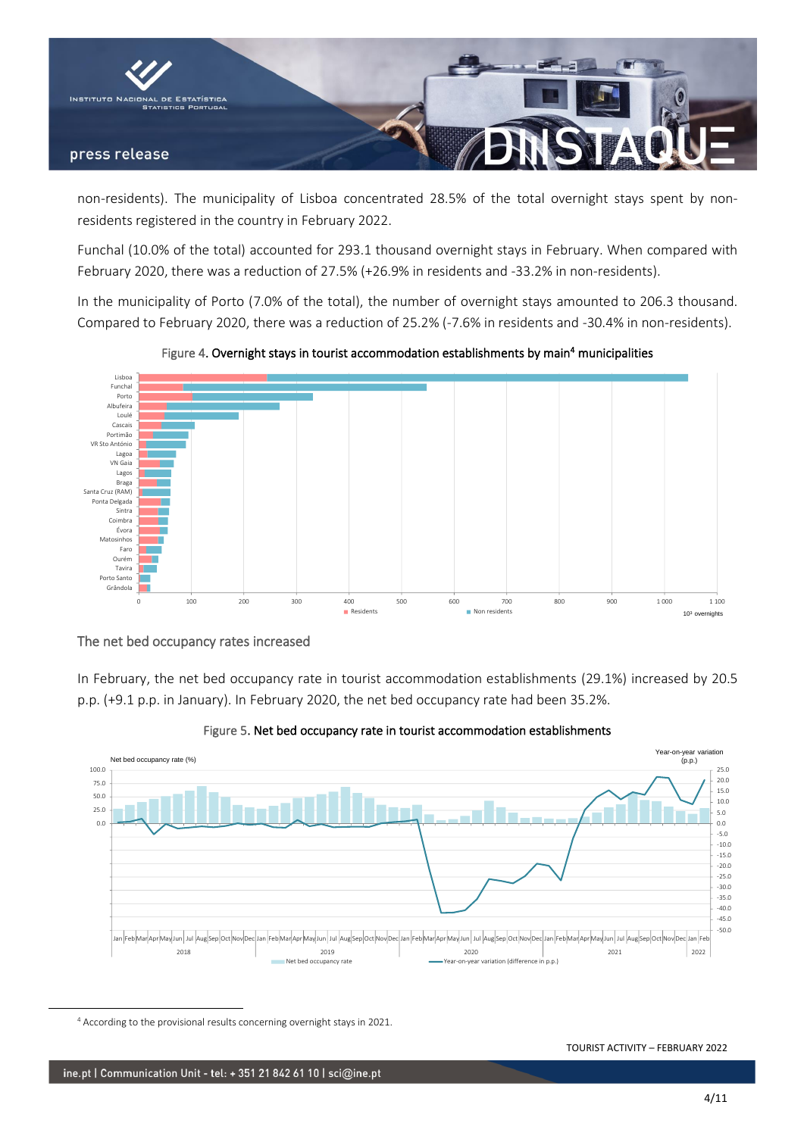

non-residents). The municipality of Lisboa concentrated 28.5% of the total overnight stays spent by nonresidents registered in the country in February 2022.

Funchal (10.0% of the total) accounted for 293.1 thousand overnight stays in February. When compared with February 2020, there was a reduction of 27.5% (+26.9% in residents and -33.2% in non-residents).

In the municipality of Porto (7.0% of the total), the number of overnight stays amounted to 206.3 thousand. Compared to February 2020, there was a reduction of 25.2% (-7.6% in residents and -30.4% in non-residents).



Figure 4. Overnight stays in tourist accommodation establishments by main<sup>4</sup> municipalities

## The net bed occupancy rates increased

In February, the net bed occupancy rate in tourist accommodation establishments (29.1%) increased by 20.5 p.p. (+9.1 p.p. in January). In February 2020, the net bed occupancy rate had been 35.2%.



Figure 5. Net bed occupancy rate in tourist accommodation establishments

<sup>4</sup> According to the provisional results concerning overnight stays in 2021.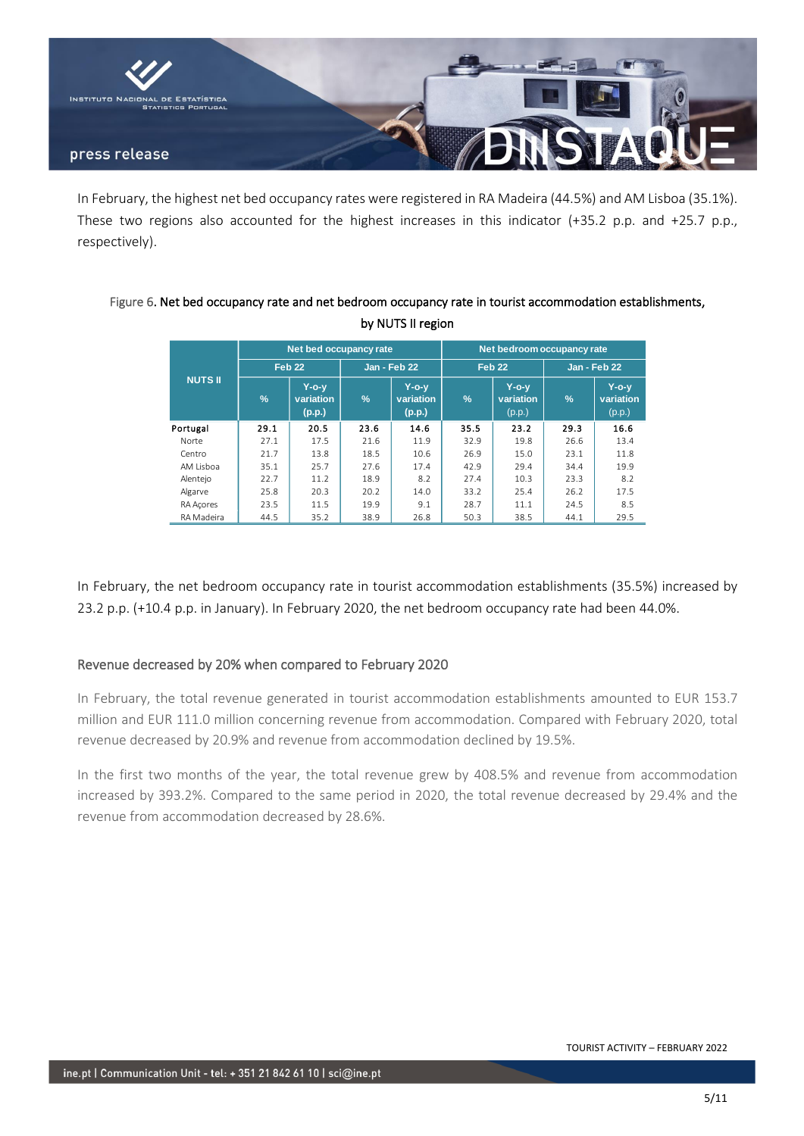

In February, the highest net bed occupancy rates were registered in RA Madeira (44.5%) and AM Lisboa (35.1%). These two regions also accounted for the highest increases in this indicator (+35.2 p.p. and +25.7 p.p., respectively).

## Figure 6. Net bed occupancy rate and net bedroom occupancy rate in tourist accommodation establishments, by NUTS II region

|                |               | Net bed occupancy rate          |               |                                    | Net bedroom occupancy rate |                                    |               |                                 |  |  |  |
|----------------|---------------|---------------------------------|---------------|------------------------------------|----------------------------|------------------------------------|---------------|---------------------------------|--|--|--|
|                |               | Feb <sub>22</sub>               |               | <b>Jan - Feb 22</b>                |                            | Feb <sub>22</sub>                  |               | <b>Jan - Feb 22</b>             |  |  |  |
| <b>NUTS II</b> | $\frac{9}{6}$ | $Y$ -o-v<br>variation<br>(p.p.) | $\frac{9}{6}$ | $Y$ -o- $V$<br>variation<br>(p.p.) | $\frac{9}{6}$              | $Y$ -o- $V$<br>variation<br>(p.p.) | $\frac{9}{6}$ | $Y$ -o-y<br>variation<br>(p.p.) |  |  |  |
| Portugal       | 29.1          | 20.5                            | 23.6          | 14.6                               | 35.5                       | 23.2                               | 29.3          | 16.6                            |  |  |  |
| Norte          | 27.1          | 17.5                            | 21.6          | 11.9                               | 32.9                       | 19.8                               | 26.6          | 13.4                            |  |  |  |
| Centro         | 21.7          | 13.8                            | 18.5          | 10.6                               | 26.9                       | 15.0                               | 23.1          | 11.8                            |  |  |  |
| AM Lisboa      | 35.1          | 25.7                            | 27.6          | 17.4                               | 42.9                       | 29.4                               | 34.4          | 19.9                            |  |  |  |
| Alentejo       | 22.7          | 11.2                            | 18.9          | 8.2                                | 27.4                       | 10.3                               | 23.3          | 8.2                             |  |  |  |
| Algarve        | 25.8          | 20.3                            | 20.2          | 14.0                               | 33.2                       | 25.4                               | 26.2          | 17.5                            |  |  |  |
| RA Acores      | 23.5          | 11.5                            | 19.9          | 9.1                                | 28.7                       | 11.1                               | 24.5          | 8.5                             |  |  |  |
| RA Madeira     | 44.5          | 35.2                            | 38.9          | 26.8                               | 50.3                       | 38.5                               | 44.1          | 29.5                            |  |  |  |

In February, the net bedroom occupancy rate in tourist accommodation establishments (35.5%) increased by 23.2 p.p. (+10.4 p.p. in January). In February 2020, the net bedroom occupancy rate had been 44.0%.

## Revenue decreased by 20% when compared to February 2020

In February, the total revenue generated in tourist accommodation establishments amounted to EUR 153.7 million and EUR 111.0 million concerning revenue from accommodation. Compared with February 2020, total revenue decreased by 20.9% and revenue from accommodation declined by 19.5%.

In the first two months of the year, the total revenue grew by 408.5% and revenue from accommodation increased by 393.2%. Compared to the same period in 2020, the total revenue decreased by 29.4% and the revenue from accommodation decreased by 28.6%.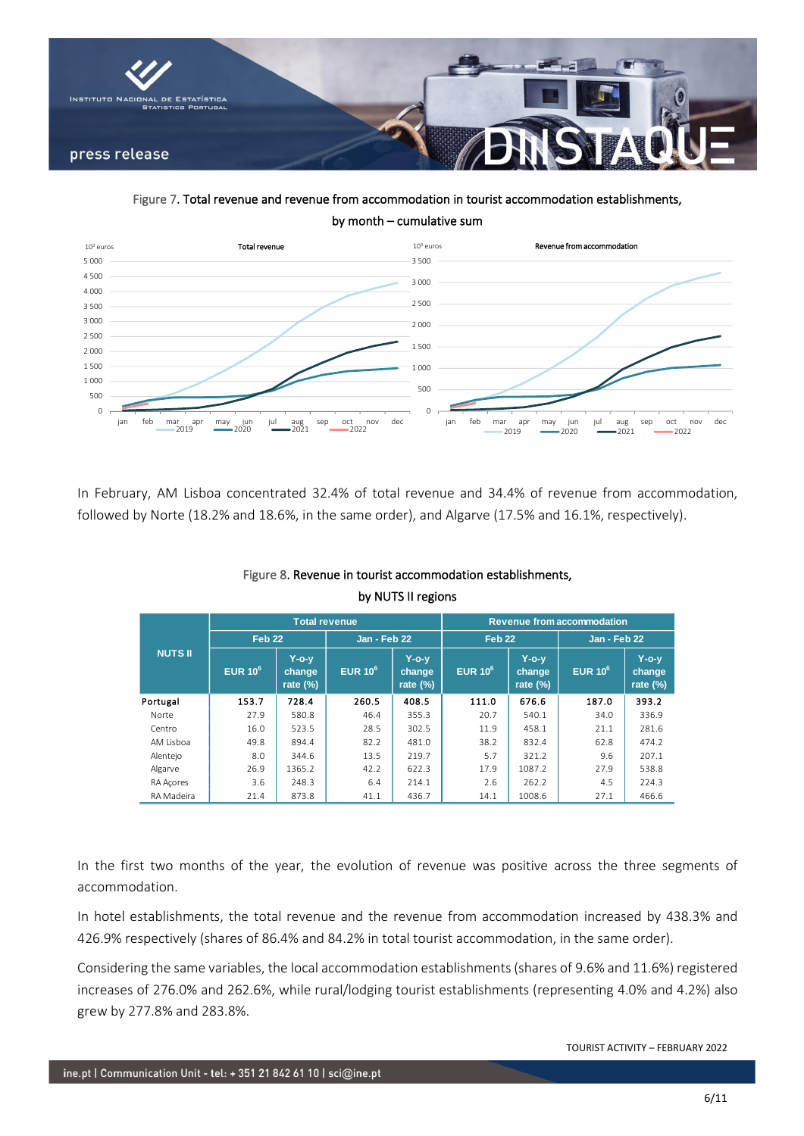

Figure 7. Total revenue and revenue from accommodation in tourist accommodation establishments, by month – cumulative sum



In February, AM Lisboa concentrated 32.4% of total revenue and 34.4% of revenue from accommodation, followed by Norte (18.2% and 18.6%, in the same order), and Algarve (17.5% and 16.1%, respectively).

|                |                     | <b>Total revenue</b>                  |            |                                                                 | <b>Revenue from accommodation</b> |                                       |            |                                   |  |  |  |  |
|----------------|---------------------|---------------------------------------|------------|-----------------------------------------------------------------|-----------------------------------|---------------------------------------|------------|-----------------------------------|--|--|--|--|
|                | Feb <sub>22</sub>   |                                       |            | <b>Jan - Feb 22</b><br>Feb <sub>22</sub><br><b>Jan - Feb 22</b> |                                   |                                       |            |                                   |  |  |  |  |
| <b>NUTS II</b> | EUR 10 <sup>6</sup> | <b>Y-o-y</b><br>change<br>rate $(\%)$ | EUR $10^6$ | $Y$ -o- $V$<br>change<br>rate $(\%)$                            | EUR $10^6$                        | <b>Y-o-y</b><br>change<br>rate $(\%)$ | EUR $10^6$ | $Y$ -o-y<br>change<br>rate $(\%)$ |  |  |  |  |
| Portugal       | 153.7               | 728.4                                 | 260.5      | 408.5                                                           | 111.0                             | 676.6                                 | 187.0      | 393.2                             |  |  |  |  |
| Norte          | 27.9                | 580.8                                 | 46.4       | 355.3                                                           | 20.7                              | 540.1                                 | 34.0       | 336.9                             |  |  |  |  |
| Centro         | 16.0                | 523.5                                 | 28.5       | 302.5                                                           | 11.9                              | 458.1                                 | 21.1       | 281.6                             |  |  |  |  |
| AM Lisboa      | 49.8                | 894.4                                 | 82.2       | 481.0                                                           | 38.2                              | 832.4                                 | 62.8       | 474.2                             |  |  |  |  |
| Alentejo       | 8.0                 | 344.6                                 | 13.5       | 219.7                                                           | 5.7                               | 321.2                                 | 9.6        | 207.1                             |  |  |  |  |
| Algarve        | 26.9                | 1365.2                                | 42.2       | 622.3                                                           | 17.9                              | 1087.2                                | 27.9       | 538.8                             |  |  |  |  |
| RA Acores      | 3.6                 | 248.3                                 | 6.4        | 214.1                                                           | 2.6                               | 262.2                                 | 4.5        | 224.3                             |  |  |  |  |
| RA Madeira     | 21.4                | 873.8                                 | 41.1       | 436.7                                                           | 14.1                              | 1008.6                                | 27.1       | 466.6                             |  |  |  |  |

## Figure 8. Revenue in tourist accommodation establishments, by NUTS II regions

In the first two months of the year, the evolution of revenue was positive across the three segments of accommodation.

In hotel establishments, the total revenue and the revenue from accommodation increased by 438.3% and 426.9% respectively (shares of 86.4% and 84.2% in total tourist accommodation, in the same order).

Considering the same variables, the local accommodation establishments (shares of 9.6% and 11.6%) registered increases of 276.0% and 262.6%, while rural/lodging tourist establishments (representing 4.0% and 4.2%) also grew by 277.8% and 283.8%.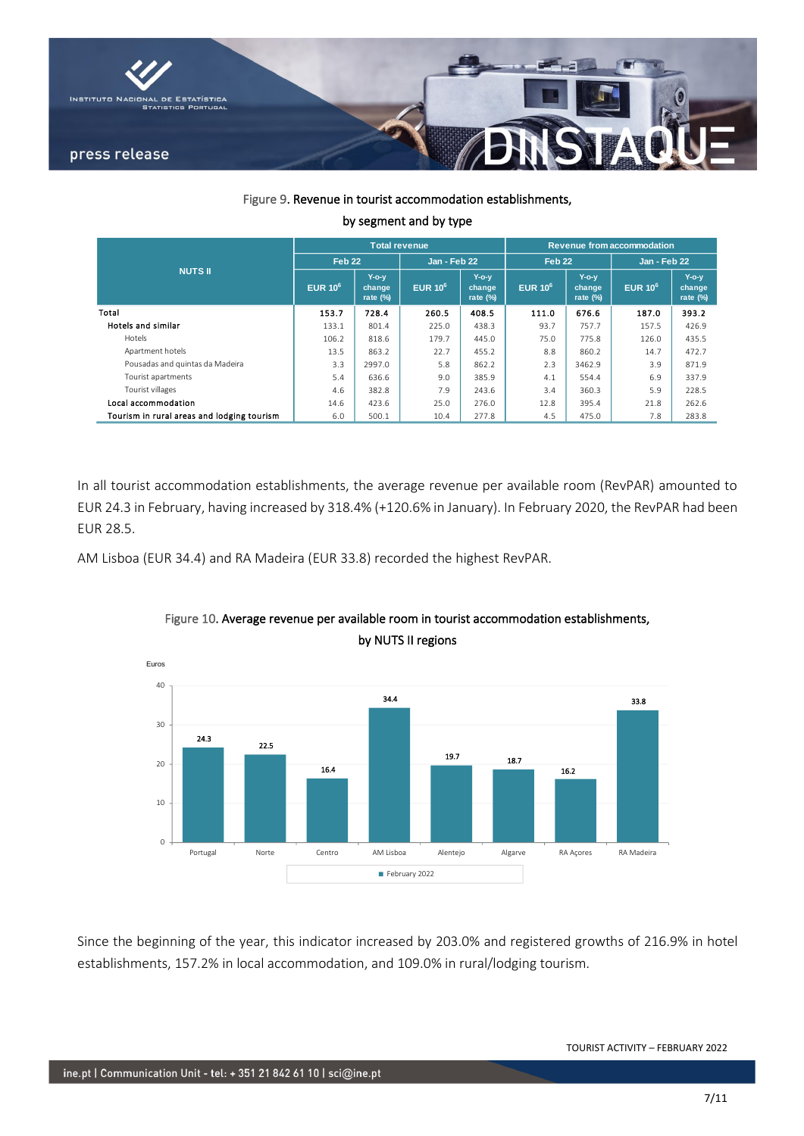

### Figure 9. Revenue in tourist accommodation establishments,

|                                            |                   |                                      | <b>Revenue from accommodation</b> |                                      |                   |                                      |                     |                                |  |
|--------------------------------------------|-------------------|--------------------------------------|-----------------------------------|--------------------------------------|-------------------|--------------------------------------|---------------------|--------------------------------|--|
|                                            | Feb <sub>22</sub> |                                      | <b>Jan - Feb 22</b>               |                                      | Feb <sub>22</sub> |                                      | <b>Jan - Feb 22</b> |                                |  |
| <b>NUTS II</b>                             | EUR $10^6$        | $Y$ -o- $V$<br>change<br>rate $(\%)$ | EUR $10^6$                        | $Y$ -o- $V$<br>change<br>rate $(\%)$ | EUR $10^6$        | $Y$ -o- $V$<br>change<br>rate $(\%)$ | EUR 10 <sup>6</sup> | $Y$ -o-v<br>change<br>rate (%) |  |
| Total                                      | 153.7             | 728.4                                | 260.5                             | 408.5                                | 111.0             | 676.6                                | 187.0               | 393.2                          |  |
| <b>Hotels and similar</b>                  | 133.1             | 801.4                                | 225.0                             | 438.3                                | 93.7              | 757.7                                | 157.5               | 426.9                          |  |
| Hotels                                     | 106.2             | 818.6                                | 179.7                             | 445.0                                | 75.0              | 775.8                                | 126.0               | 435.5                          |  |
| Apartment hotels                           | 13.5              | 863.2                                | 22.7                              | 455.2                                | 8.8               | 860.2                                | 14.7                | 472.7                          |  |
| Pousadas and quintas da Madeira            | 3.3               | 2997.0                               | 5.8                               | 862.2                                | 2.3               | 3462.9                               | 3.9                 | 871.9                          |  |
| Tourist apartments                         | 5.4               | 636.6                                | 9.0                               | 385.9                                | 4.1               | 554.4                                | 6.9                 | 337.9                          |  |
| Tourist villages                           | 4.6               | 382.8                                | 7.9                               | 243.6                                | 3.4               | 360.3                                | 5.9                 | 228.5                          |  |
| Local accommodation                        | 14.6              | 423.6                                | 25.0                              | 276.0                                | 12.8              | 395.4                                | 21.8                | 262.6                          |  |
| Tourism in rural areas and lodging tourism | 6.0               | 500.1                                | 10.4                              | 277.8                                | 4.5               | 475.0                                | 7.8                 | 283.8                          |  |

### by segment and by type

In all tourist accommodation establishments, the average revenue per available room (RevPAR) amounted to EUR 24.3 in February, having increased by 318.4% (+120.6% in January). In February 2020, the RevPAR had been EUR 28.5.

AM Lisboa (EUR 34.4) and RA Madeira (EUR 33.8) recorded the highest RevPAR.



## Figure 10. Average revenue per available room in tourist accommodation establishments, by NUTS II regions

Since the beginning of the year, this indicator increased by 203.0% and registered growths of 216.9% in hotel establishments, 157.2% in local accommodation, and 109.0% in rural/lodging tourism.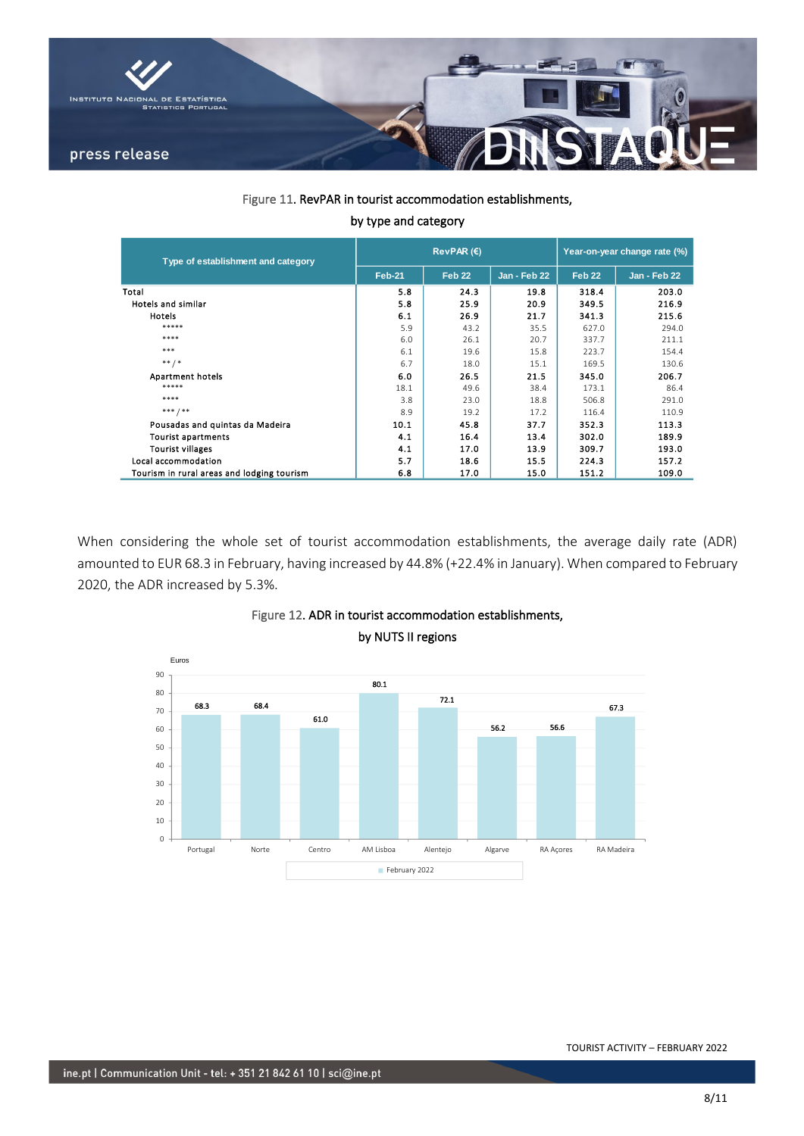

Figure 11. RevPAR in tourist accommodation establishments,

|  |  |  | by type and category |
|--|--|--|----------------------|
|--|--|--|----------------------|

| Type of establishment and category         |               | RevPAR $(E)$      | Year-on-year change rate (%) |                   |              |  |
|--------------------------------------------|---------------|-------------------|------------------------------|-------------------|--------------|--|
|                                            | <b>Feb-21</b> | Feb <sub>22</sub> | Jan - Feb 22                 | Feb <sub>22</sub> | Jan - Feb 22 |  |
| Total                                      | 5.8           | 24.3              | 19.8                         | 318.4             | 203.0        |  |
| Hotels and similar                         | 5.8           | 25.9              | 20.9                         | 349.5             | 216.9        |  |
| Hotels                                     | 6.1           | 26.9              | 21.7                         | 341.3             | 215.6        |  |
| *****                                      | 5.9           | 43.2              | 35.5                         | 627.0             | 294.0        |  |
| ****                                       | 6.0           | 26.1              | 20.7                         | 337.7             | 211.1        |  |
| ***                                        | 6.1           | 19.6              | 15.8                         | 223.7             | 154.4        |  |
| $***$ /*                                   | 6.7           | 18.0              | 15.1                         | 169.5             | 130.6        |  |
| Apartment hotels                           | 6.0           | 26.5              | 21.5                         | 345.0             | 206.7        |  |
| *****                                      | 18.1          | 49.6              | 38.4                         | 173.1             | 86.4         |  |
| ****                                       | 3.8           | 23.0              | 18.8                         | 506.8             | 291.0        |  |
| $***$ / **                                 | 8.9           | 19.2              | 17.2                         | 116.4             | 110.9        |  |
| Pousadas and quintas da Madeira            | 10.1          | 45.8              | 37.7                         | 352.3             | 113.3        |  |
| <b>Tourist apartments</b>                  | 4.1           | 16.4              | 13.4                         | 302.0             | 189.9        |  |
| <b>Tourist villages</b>                    | 4.1           | 17.0              | 13.9                         | 309.7             | 193.0        |  |
| Local accommodation                        | 5.7           | 18.6              | 15.5                         | 224.3             | 157.2        |  |
| Tourism in rural areas and lodging tourism | 6.8           | 17.0              | 15.0                         | 151.2             | 109.0        |  |

When considering the whole set of tourist accommodation establishments, the average daily rate (ADR) amounted to EUR 68.3 in February, having increased by 44.8% (+22.4% in January). When compared to February 2020, the ADR increased by 5.3%.



# Figure 12. ADR in tourist accommodation establishments, by NUTS II regions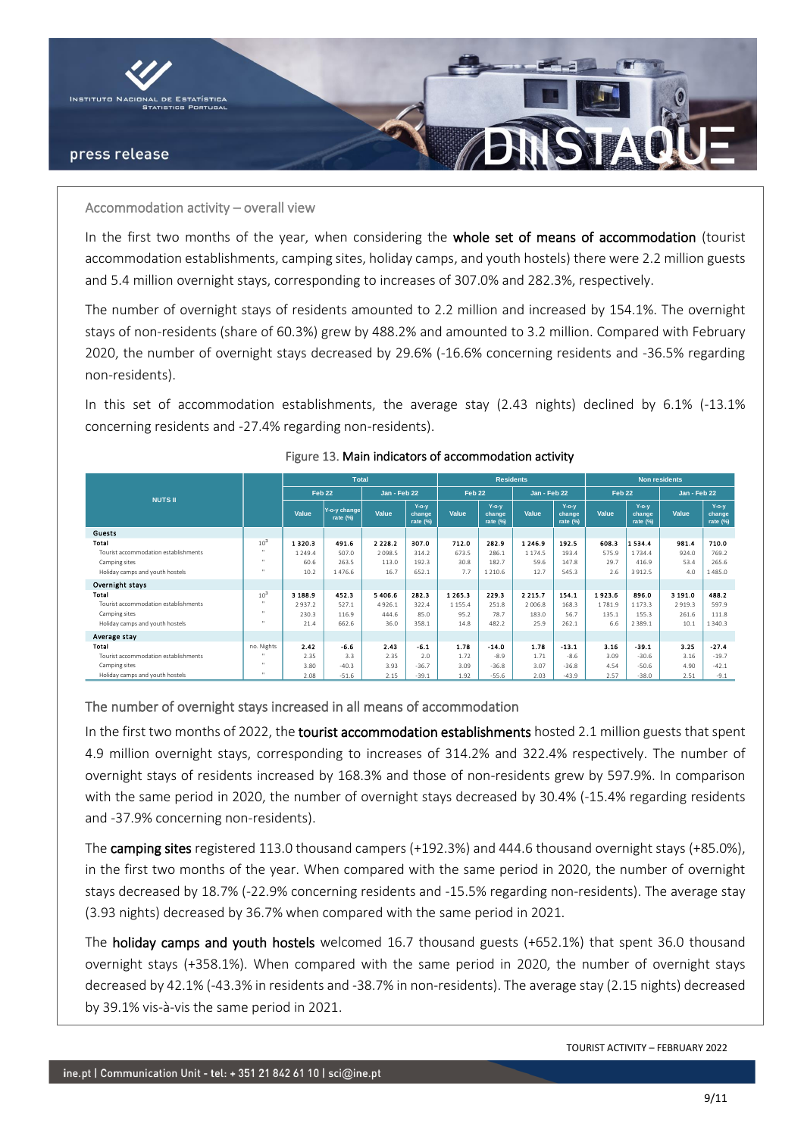

### Accommodation activity – overall view

In the first two months of the year, when considering the whole set of means of accommodation (tourist accommodation establishments, camping sites, holiday camps, and youth hostels) there were 2.2 million guests and 5.4 million overnight stays, corresponding to increases of 307.0% and 282.3%, respectively.

The number of overnight stays of residents amounted to 2.2 million and increased by 154.1%. The overnight stays of non-residents (share of 60.3%) grew by 488.2% and amounted to 3.2 million. Compared with February 2020, the number of overnight stays decreased by 29.6% (-16.6% concerning residents and -36.5% regarding non-residents).

In this set of accommodation establishments, the average stay (2.43 nights) declined by 6.1% (-13.1% concerning residents and -27.4% regarding non-residents).

|                                      |                 | <b>Total</b> |                          |                     |                                | <b>Residents</b>  |                                |                     |                                   | <b>Non residents</b> |                                |              |                                |
|--------------------------------------|-----------------|--------------|--------------------------|---------------------|--------------------------------|-------------------|--------------------------------|---------------------|-----------------------------------|----------------------|--------------------------------|--------------|--------------------------------|
| <b>NUTS II</b>                       |                 |              | Feb 22                   | <b>Jan - Feb 22</b> |                                | Feb <sub>22</sub> |                                | <b>Jan - Feb 22</b> |                                   | Feb <sub>22</sub>    |                                | Jan - Feb 22 |                                |
|                                      |                 | Value        | Y-o-y change<br>rate (%) | Value               | $Y$ -o-y<br>change<br>rate (%) | Value             | $Y$ -o-y<br>change<br>rate (%) | Value               | $Y$ -o-y<br>change<br>rate $(\%)$ | Value                | $Y$ -o-y<br>change<br>rate (%) | Value        | $Y$ -o-y<br>change<br>rate (%) |
| <b>Guests</b>                        |                 |              |                          |                     |                                |                   |                                |                     |                                   |                      |                                |              |                                |
| Total                                | 10 <sup>3</sup> | 13203        | 491.6                    | 2 2 2 8 2           | 307.0                          | 712.0             | 282.9                          | 12469               | 192.5                             | 608.3                | 1534.4                         | 981.4        | 710.0                          |
| Tourist accommodation establishments | <b>H</b>        | 1249.4       | 507.0                    | 2098.5              | 314.2                          | 673.5             | 286.1                          | 1174.5              | 193.4                             | 575.9                | 1734.4                         | 924.0        | 769.2                          |
| Camping sites                        | <b>ALC</b>      | 60.6         | 263.5                    | 113.0               | 192.3                          | 30.8              | 182.7                          | 59.6                | 147.8                             | 29.7                 | 416.9                          | 53.4         | 265.6                          |
| Holiday camps and youth hostels      |                 | 10.2         | 1476.6                   | 16.7                | 652.1                          | 7.7               | 1 2 1 0.6                      | 12.7                | 545.3                             | 2.6                  | 3912.5                         | 4.0          | 1485.0                         |
| Overnight stays                      |                 |              |                          |                     |                                |                   |                                |                     |                                   |                      |                                |              |                                |
| Total                                | 10 <sup>3</sup> | 3 188.9      | 452.3                    | 5 4 0 6 . 6         | 282.3                          | 1 2 6 5 . 3       | 229.3                          | 2 2 1 5 . 7         | 154.1                             | 1923.6               | 896.0                          | 3 191.0      | 488.2                          |
| Tourist accommodation establishments | <b>ALC</b>      | 2937.2       | 527.1                    | 4926.1              | 322.4                          | 1 1 5 5 . 4       | 251.8                          | 2.006.8             | 168.3                             | 1781.9               | 1 1 7 3 . 3                    | 2919.3       | 597.9                          |
| Camping sites                        | <b>ALC</b>      | 230.3        | 116.9                    | 444.6               | 85.0                           | 95.2              | 78.7                           | 183.0               | 56.7                              | 135.1                | 155.3                          | 261.6        | 111.8                          |
| Holiday camps and youth hostels      | <b>III</b>      | 21.4         | 662.6                    | 36.0                | 358.1                          | 14.8              | 482.2                          | 25.9                | 262.1                             | 6.6                  | 2 3 8 9 . 1                    | 10.1         | 1340.3                         |
| Average stay                         |                 |              |                          |                     |                                |                   |                                |                     |                                   |                      |                                |              |                                |
| Total                                | no. Nights      | 2.42         | $-6.6$                   | 2.43                | $-6.1$                         | 1.78              | $-14.0$                        | 1.78                | $-13.1$                           | 3.16                 | $-39.1$                        | 3.25         | $-27.4$                        |
| Tourist accommodation establishments |                 | 2.35         | 3.3                      | 2.35                | 2.0                            | 1.72              | $-8.9$                         | 1.71                | $-8.6$                            | 3.09                 | $-30.6$                        | 3.16         | $-19.7$                        |
| Camping sites                        | <b>H</b>        | 3.80         | $-40.3$                  | 3.93                | $-36.7$                        | 3.09              | $-36.8$                        | 3.07                | $-36.8$                           | 4.54                 | $-50.6$                        | 4.90         | $-42.1$                        |
| Holiday camps and youth hostels      | <b>III</b>      | 2.08         | $-51.6$                  | 2.15                | $-39.1$                        | 1.92              | $-55.6$                        | 2.03                | $-43.9$                           | 2.57                 | $-38.0$                        | 2.51         | $-9.1$                         |

### Figure 13. Main indicators of accommodation activity

The number of overnight stays increased in all means of accommodation

In the first two months of 2022, the tourist accommodation establishments hosted 2.1 million guests that spent 4.9 million overnight stays, corresponding to increases of 314.2% and 322.4% respectively. The number of overnight stays of residents increased by 168.3% and those of non-residents grew by 597.9%. In comparison with the same period in 2020, the number of overnight stays decreased by 30.4% (-15.4% regarding residents and -37.9% concerning non-residents).

The camping sites registered 113.0 thousand campers (+192.3%) and 444.6 thousand overnight stays (+85.0%), in the first two months of the year. When compared with the same period in 2020, the number of overnight stays decreased by 18.7% (-22.9% concerning residents and -15.5% regarding non-residents). The average stay (3.93 nights) decreased by 36.7% when compared with the same period in 2021.

The holiday camps and youth hostels welcomed 16.7 thousand guests (+652.1%) that spent 36.0 thousand overnight stays (+358.1%). When compared with the same period in 2020, the number of overnight stays decreased by 42.1% (-43.3% in residents and -38.7% in non-residents). The average stay (2.15 nights) decreased by 39.1% vis-à-vis the same period in 2021.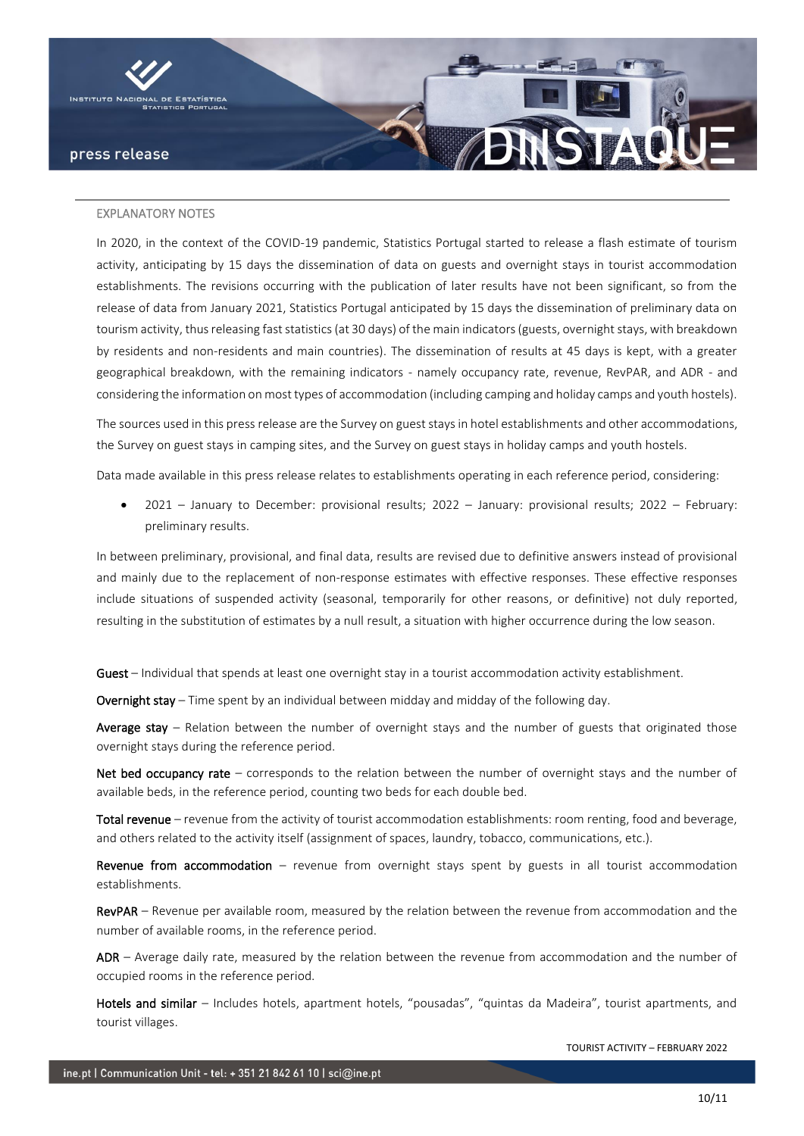

#### EXPLANATORY NOTES

In 2020, in the context of the COVID-19 pandemic, Statistics Portugal started to release a flash estimate of tourism activity, anticipating by 15 days the dissemination of data on guests and overnight stays in tourist accommodation establishments. The revisions occurring with the publication of later results have not been significant, so from the release of data from January 2021, Statistics Portugal anticipated by 15 days the dissemination of preliminary data on tourism activity, thus releasing fast statistics (at 30 days) of the main indicators (guests, overnight stays, with breakdown by residents and non-residents and main countries). The dissemination of results at 45 days is kept, with a greater geographical breakdown, with the remaining indicators - namely occupancy rate, revenue, RevPAR, and ADR - and considering the information on most types of accommodation (including camping and holiday camps and youth hostels).

The sources used in this press release are the Survey on guest stays in hotel establishments and other accommodations, the Survey on guest stays in camping sites, and the Survey on guest stays in holiday camps and youth hostels.

Data made available in this press release relates to establishments operating in each reference period, considering:

• 2021 – January to December: provisional results; 2022 – January: provisional results; 2022 – February: preliminary results.

In between preliminary, provisional, and final data, results are revised due to definitive answers instead of provisional and mainly due to the replacement of non-response estimates with effective responses. These effective responses include situations of suspended activity (seasonal, temporarily for other reasons, or definitive) not duly reported, resulting in the substitution of estimates by a null result, a situation with higher occurrence during the low season.

Guest – Individual that spends at least one overnight stay in a tourist accommodation activity establishment.

Overnight stay – Time spent by an individual between midday and midday of the following day.

Average stay – Relation between the number of overnight stays and the number of guests that originated those overnight stays during the reference period.

Net bed occupancy rate – corresponds to the relation between the number of overnight stays and the number of available beds, in the reference period, counting two beds for each double bed.

Total revenue – revenue from the activity of tourist accommodation establishments: room renting, food and beverage, and others related to the activity itself (assignment of spaces, laundry, tobacco, communications, etc.).

Revenue from accommodation  $-$  revenue from overnight stays spent by guests in all tourist accommodation establishments.

RevPAR – Revenue per available room, measured by the relation between the revenue from accommodation and the number of available rooms, in the reference period.

ADR – Average daily rate, measured by the relation between the revenue from accommodation and the number of occupied rooms in the reference period.

Hotels and similar – Includes hotels, apartment hotels, "pousadas", "quintas da Madeira", tourist apartments, and tourist villages.